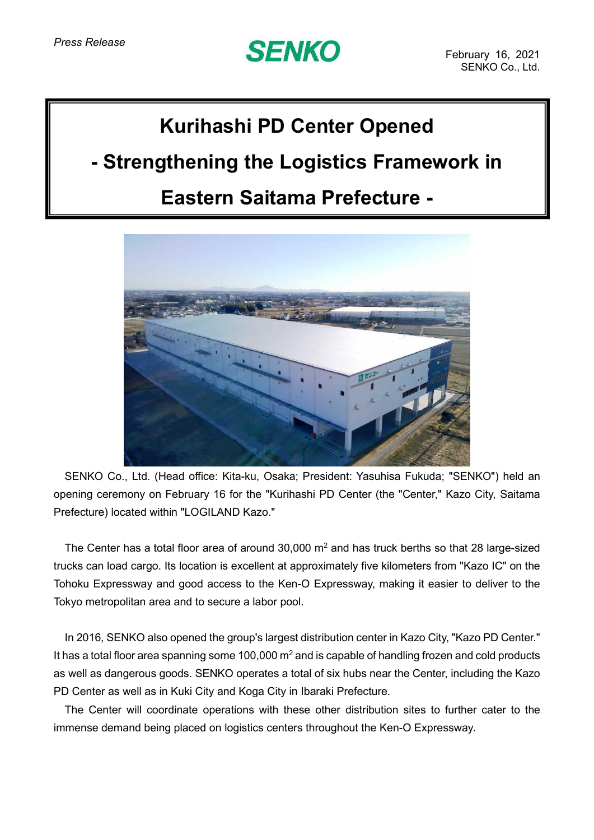# **SENKO**

## **Kurihashi PD Center Opened**

### **- Strengthening the Logistics Framework in**

#### **Eastern Saitama Prefecture -**



SENKO Co., Ltd. (Head office: Kita-ku, Osaka; President: Yasuhisa Fukuda; "SENKO") held an opening ceremony on February 16 for the "Kurihashi PD Center (the "Center," Kazo City, Saitama Prefecture) located within "LOGILAND Kazo."

The Center has a total floor area of around 30,000  $m<sup>2</sup>$  and has truck berths so that 28 large-sized trucks can load cargo. Its location is excellent at approximately five kilometers from "Kazo IC" on the Tohoku Expressway and good access to the Ken-O Expressway, making it easier to deliver to the Tokyo metropolitan area and to secure a labor pool.

In 2016, SENKO also opened the group's largest distribution center in Kazo City, "Kazo PD Center." It has a total floor area spanning some 100,000  $m<sup>2</sup>$  and is capable of handling frozen and cold products as well as dangerous goods. SENKO operates a total of six hubs near the Center, including the Kazo PD Center as well as in Kuki City and Koga City in Ibaraki Prefecture.

The Center will coordinate operations with these other distribution sites to further cater to the immense demand being placed on logistics centers throughout the Ken-O Expressway.